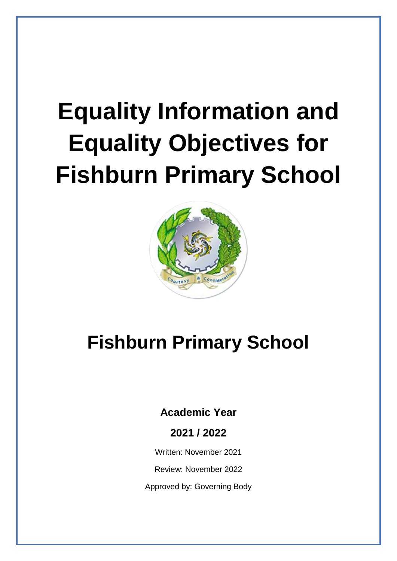# **Equality Information and Equality Objectives for Fishburn Primary School**



## **Fishburn Primary School**

### **Academic Year**

**2021 / 2022**

Written: November 2021

Review: November 2022

Approved by: Governing Body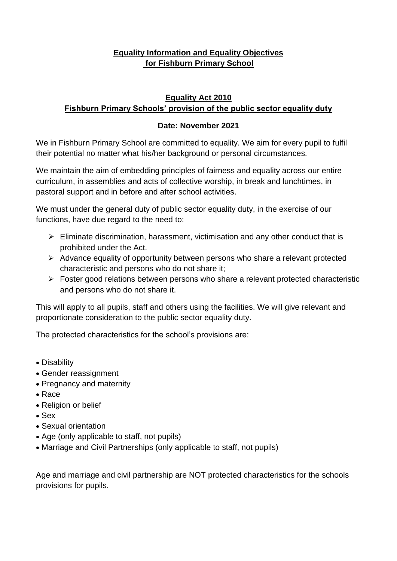#### **Equality Information and Equality Objectives for Fishburn Primary School**

#### **Equality Act 2010 Fishburn Primary Schools' provision of the public sector equality duty**

#### **Date: November 2021**

We in Fishburn Primary School are committed to equality. We aim for every pupil to fulfil their potential no matter what his/her background or personal circumstances.

We maintain the aim of embedding principles of fairness and equality across our entire curriculum, in assemblies and acts of collective worship, in break and lunchtimes, in pastoral support and in before and after school activities.

We must under the general duty of public sector equality duty, in the exercise of our functions, have due regard to the need to:

- $\triangleright$  Eliminate discrimination, harassment, victimisation and any other conduct that is prohibited under the Act.
- ➢ Advance equality of opportunity between persons who share a relevant protected characteristic and persons who do not share it;
- ➢ Foster good relations between persons who share a relevant protected characteristic and persons who do not share it.

This will apply to all pupils, staff and others using the facilities. We will give relevant and proportionate consideration to the public sector equality duty.

The protected characteristics for the school's provisions are:

- Disability
- Gender reassignment
- Pregnancy and maternity
- Race
- Religion or belief
- Sex
- Sexual orientation
- Age (only applicable to staff, not pupils)
- Marriage and Civil Partnerships (only applicable to staff, not pupils)

Age and marriage and civil partnership are NOT protected characteristics for the schools provisions for pupils.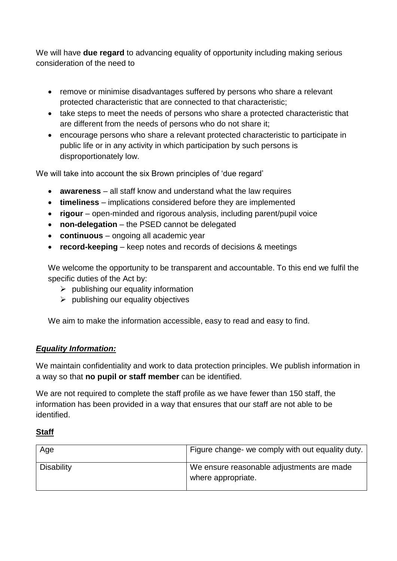We will have **due regard** to advancing equality of opportunity including making serious consideration of the need to

- remove or minimise disadvantages suffered by persons who share a relevant protected characteristic that are connected to that characteristic;
- take steps to meet the needs of persons who share a protected characteristic that are different from the needs of persons who do not share it;
- encourage persons who share a relevant protected characteristic to participate in public life or in any activity in which participation by such persons is disproportionately low.

We will take into account the six Brown principles of 'due regard'

- **awareness** all staff know and understand what the law requires
- **timeliness** implications considered before they are implemented
- **rigour** open-minded and rigorous analysis, including parent/pupil voice
- **non-delegation** the PSED cannot be delegated
- **continuous** ongoing all academic year
- **record-keeping** keep notes and records of decisions & meetings

We welcome the opportunity to be transparent and accountable. To this end we fulfil the specific duties of the Act by:

- $\triangleright$  publishing our equality information
- $\triangleright$  publishing our equality objectives

We aim to make the information accessible, easy to read and easy to find.

#### *Equality Information:*

We maintain confidentiality and work to data protection principles. We publish information in a way so that **no pupil or staff member** can be identified.

We are not required to complete the staff profile as we have fewer than 150 staff, the information has been provided in a way that ensures that our staff are not able to be identified.

**Staff**

| Age               | Figure change- we comply with out equality duty.                |
|-------------------|-----------------------------------------------------------------|
| <b>Disability</b> | We ensure reasonable adjustments are made<br>where appropriate. |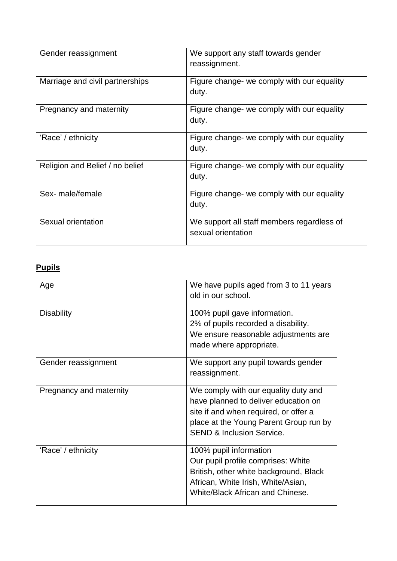| Gender reassignment             | We support any staff towards gender<br>reassignment.             |
|---------------------------------|------------------------------------------------------------------|
| Marriage and civil partnerships | Figure change- we comply with our equality<br>duty.              |
| Pregnancy and maternity         | Figure change- we comply with our equality<br>duty.              |
| 'Race' / ethnicity              | Figure change- we comply with our equality<br>duty.              |
| Religion and Belief / no belief | Figure change- we comply with our equality<br>duty.              |
| Sex- male/female                | Figure change- we comply with our equality<br>duty.              |
| Sexual orientation              | We support all staff members regardless of<br>sexual orientation |

#### **Pupils**

| Age                     | We have pupils aged from 3 to 11 years<br>old in our school.                                                                                                                                            |
|-------------------------|---------------------------------------------------------------------------------------------------------------------------------------------------------------------------------------------------------|
| <b>Disability</b>       | 100% pupil gave information.<br>2% of pupils recorded a disability.<br>We ensure reasonable adjustments are<br>made where appropriate.                                                                  |
| Gender reassignment     | We support any pupil towards gender<br>reassignment.                                                                                                                                                    |
| Pregnancy and maternity | We comply with our equality duty and<br>have planned to deliver education on<br>site if and when required, or offer a<br>place at the Young Parent Group run by<br><b>SEND &amp; Inclusion Service.</b> |
| 'Race' / ethnicity      | 100% pupil information<br>Our pupil profile comprises: White<br>British, other white background, Black<br>African, White Irish, White/Asian,<br>White/Black African and Chinese.                        |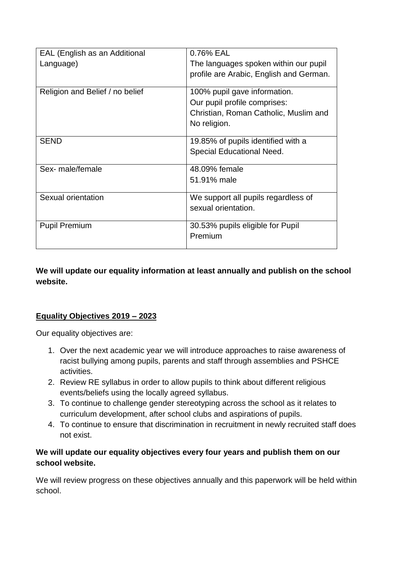| EAL (English as an Additional<br>Language) | 0.76% EAL<br>The languages spoken within our pupil<br>profile are Arabic, English and German.                         |
|--------------------------------------------|-----------------------------------------------------------------------------------------------------------------------|
| Religion and Belief / no belief            | 100% pupil gave information.<br>Our pupil profile comprises:<br>Christian, Roman Catholic, Muslim and<br>No religion. |
| <b>SEND</b>                                | 19.85% of pupils identified with a<br>Special Educational Need.                                                       |
| Sex- male/female                           | 48.09% female<br>51.91% male                                                                                          |
| Sexual orientation                         | We support all pupils regardless of<br>sexual orientation.                                                            |
| <b>Pupil Premium</b>                       | 30.53% pupils eligible for Pupil<br>Premium                                                                           |

#### **We will update our equality information at least annually and publish on the school website.**

#### **Equality Objectives 2019 – 2023**

Our equality objectives are:

- 1. Over the next academic year we will introduce approaches to raise awareness of racist bullying among pupils, parents and staff through assemblies and PSHCE activities.
- 2. Review RE syllabus in order to allow pupils to think about different religious events/beliefs using the locally agreed syllabus.
- 3. To continue to challenge gender stereotyping across the school as it relates to curriculum development, after school clubs and aspirations of pupils.
- 4. To continue to ensure that discrimination in recruitment in newly recruited staff does not exist.

#### **We will update our equality objectives every four years and publish them on our school website.**

We will review progress on these objectives annually and this paperwork will be held within school.